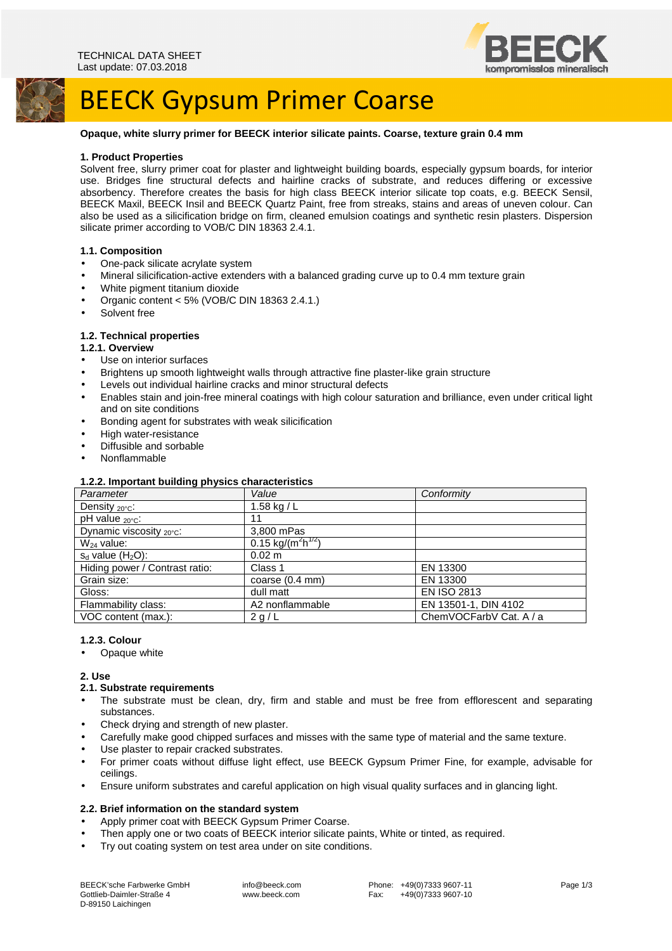

# BEECK Gypsum Primer Coarse

## **Opaque, white slurry primer for BEECK interior silicate paints. Coarse, texture grain 0.4 mm**

#### **1. Product Properties**

Solvent free, slurry primer coat for plaster and lightweight building boards, especially gypsum boards, for interior use. Bridges fine structural defects and hairline cracks of substrate, and reduces differing or excessive absorbency. Therefore creates the basis for high class BEECK interior silicate top coats, e.g. BEECK Sensil, BEECK Maxil, BEECK Insil and BEECK Quartz Paint, free from streaks, stains and areas of uneven colour. Can also be used as a silicification bridge on firm, cleaned emulsion coatings and synthetic resin plasters. Dispersion silicate primer according to VOB/C DIN 18363 2.4.1.

#### **1.1. Composition**

- One-pack silicate acrylate system
- Mineral silicification-active extenders with a balanced grading curve up to 0.4 mm texture grain
- White pigment titanium dioxide
- Organic content < 5% (VOB/C DIN 18363 2.4.1.)
- Solvent free

#### **1.2. Technical properties**

- **1.2.1. Overview**
- Use on interior surfaces
- Brightens up smooth lightweight walls through attractive fine plaster-like grain structure
- Levels out individual hairline cracks and minor structural defects
- Enables stain and join-free mineral coatings with high colour saturation and brilliance, even under critical light and on site conditions
- Bonding agent for substrates with weak silicification
- High water-resistance
- Diffusible and sorbable
- Nonflammable

#### **1.2.2. Important building physics characteristics**

| . .<br>Parameter                     | Value                                  | Conformity              |
|--------------------------------------|----------------------------------------|-------------------------|
| Density $20^{\circ}$ c:              | 1.58 kg / L                            |                         |
| pH value <sub>20°C</sub> :           | 11                                     |                         |
| Dynamic viscosity $_{20^{\circ}C}$ : | 3,800 mPas                             |                         |
| $W_{24}$ value:                      | $0.15 \text{ kg/(m}^2 \text{h}^{1/2})$ |                         |
| $s_d$ value $(H_2O)$ :               | $0.02 \text{ m}$                       |                         |
| Hiding power / Contrast ratio:       | Class 1                                | EN 13300                |
| Grain size:                          | coarse $(0.4 \text{ mm})$              | EN 13300                |
| Gloss:                               | dull matt                              | <b>EN ISO 2813</b>      |
| Flammability class:                  | A2 nonflammable                        | EN 13501-1, DIN 4102    |
| VOC content (max.):                  | 2 g/L                                  | ChemVOCFarbV Cat. A / a |

#### **1.2.3. Colour**

**Opaque white** 

### **2. Use**

## **2.1. Substrate requirements**

- The substrate must be clean, dry, firm and stable and must be free from efflorescent and separating substances.
- Check drying and strength of new plaster.
- Carefully make good chipped surfaces and misses with the same type of material and the same texture.
- Use plaster to repair cracked substrates.
- For primer coats without diffuse light effect, use BEECK Gypsum Primer Fine, for example, advisable for ceilings.
- Ensure uniform substrates and careful application on high visual quality surfaces and in glancing light.

## **2.2. Brief information on the standard system**

- Apply primer coat with BEECK Gypsum Primer Coarse.
- Then apply one or two coats of BEECK interior silicate paints, White or tinted, as required.
- Try out coating system on test area under on site conditions.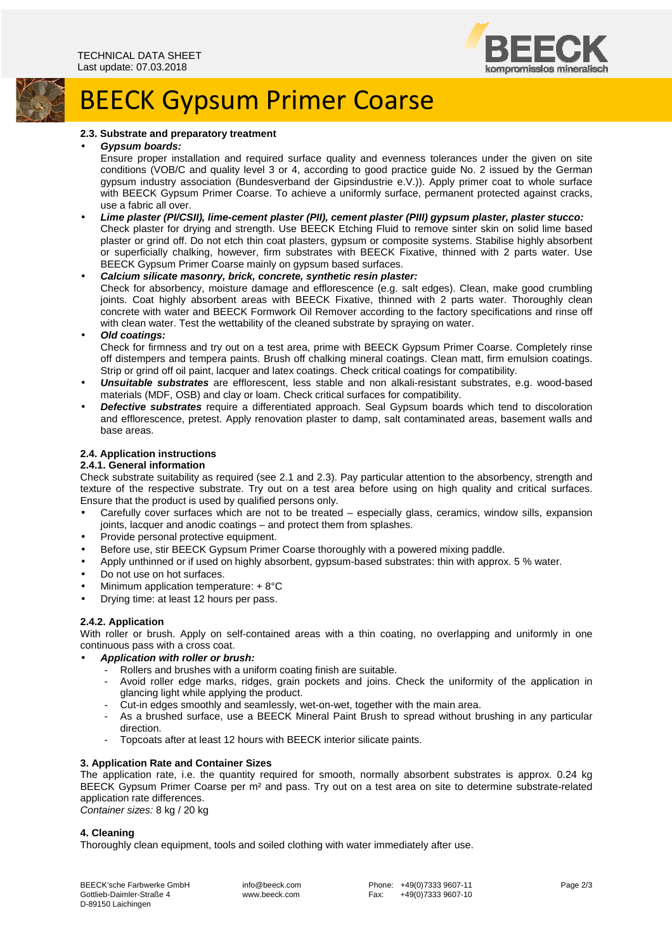

# BEECK Gypsum Primer Coarse

## **2.3. Substrate and preparatory treatment**

#### • **Gypsum boards:**

Ensure proper installation and required surface quality and evenness tolerances under the given on site conditions (VOB/C and quality level 3 or 4, according to good practice guide No. 2 issued by the German gypsum industry association (Bundesverband der Gipsindustrie e.V.)). Apply primer coat to whole surface with BEECK Gypsum Primer Coarse. To achieve a uniformly surface, permanent protected against cracks, use a fabric all over.

• **Lime plaster (PI/CSII), lime-cement plaster (PII), cement plaster (PIII) gypsum plaster, plaster stucco:**  Check plaster for drying and strength. Use BEECK Etching Fluid to remove sinter skin on solid lime based plaster or grind off. Do not etch thin coat plasters, gypsum or composite systems. Stabilise highly absorbent or superficially chalking, however, firm substrates with BEECK Fixative, thinned with 2 parts water. Use BEECK Gypsum Primer Coarse mainly on gypsum based surfaces.

## • **Calcium silicate masonry, brick, concrete, synthetic resin plaster:**

Check for absorbency, moisture damage and efflorescence (e.g. salt edges). Clean, make good crumbling joints. Coat highly absorbent areas with BEECK Fixative, thinned with 2 parts water. Thoroughly clean concrete with water and BEECK Formwork Oil Remover according to the factory specifications and rinse off with clean water. Test the wettability of the cleaned substrate by spraying on water.

## • **Old coatings:**

Check for firmness and try out on a test area, prime with BEECK Gypsum Primer Coarse. Completely rinse off distempers and tempera paints. Brush off chalking mineral coatings. Clean matt, firm emulsion coatings. Strip or grind off oil paint, lacquer and latex coatings. Check critical coatings for compatibility.

- **Unsuitable substrates** are efflorescent, less stable and non alkali-resistant substrates, e.g. wood-based materials (MDF, OSB) and clay or loam. Check critical surfaces for compatibility.
- **Defective substrates** require a differentiated approach. Seal Gypsum boards which tend to discoloration and efflorescence, pretest. Apply renovation plaster to damp, salt contaminated areas, basement walls and base areas.

## **2.4. Application instructions**

### **2.4.1. General information**

Check substrate suitability as required (see 2.1 and 2.3). Pay particular attention to the absorbency, strength and texture of the respective substrate. Try out on a test area before using on high quality and critical surfaces. Ensure that the product is used by qualified persons only.

- Carefully cover surfaces which are not to be treated especially glass, ceramics, window sills, expansion joints, lacquer and anodic coatings – and protect them from splashes.
- Provide personal protective equipment.
- Before use, stir BEECK Gypsum Primer Coarse thoroughly with a powered mixing paddle.
- Apply unthinned or if used on highly absorbent, gypsum-based substrates: thin with approx. 5 % water.
- Do not use on hot surfaces.
- Minimum application temperature: + 8°C
- Drying time: at least 12 hours per pass.

### **2.4.2. Application**

With roller or brush. Apply on self-contained areas with a thin coating, no overlapping and uniformly in one continuous pass with a cross coat.

- **Application with roller or brush:** 
	- Rollers and brushes with a uniform coating finish are suitable.
	- Avoid roller edge marks, ridges, grain pockets and joins. Check the uniformity of the application in glancing light while applying the product.
	- Cut-in edges smoothly and seamlessly, wet-on-wet, together with the main area.
	- As a brushed surface, use a BEECK Mineral Paint Brush to spread without brushing in any particular direction.
	- Topcoats after at least 12 hours with BEECK interior silicate paints.

### **3. Application Rate and Container Sizes**

The application rate, i.e. the quantity required for smooth, normally absorbent substrates is approx. 0.24 kg BEECK Gypsum Primer Coarse per m² and pass. Try out on a test area on site to determine substrate-related application rate differences.

Container sizes: 8 kg / 20 kg

## **4. Cleaning**

Thoroughly clean equipment, tools and soiled clothing with water immediately after use.